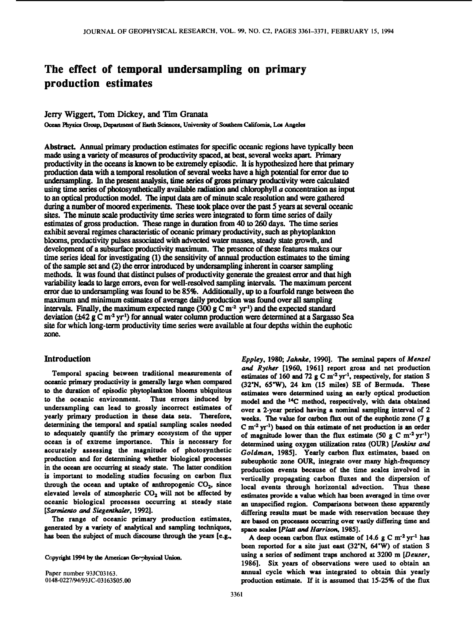# **The effect of temporal undersampling on primary production estimates**

## **Jerry Wiggert, Tom Dickey, and Tim Granata**

Ocean Physics Group, Department of Earth Sciences, University of Southern California, Los Angeles

Abstract. Annual primary production estimates for specific oceanic regions have typically been **made using a variety of measures of productivity spaced, at best, several weeks apart. Primary productivity in the oceans is known to be extremely episodic. It is hypothesized here that primary production data with a temporal resolution of several weeks have a high potential for error due to undersampling. In the present analysis, time series of gross primary productivity were calculated using time series of photosynthetically available radiation and chlorophyll a concentration as input to an optical production model. The input data are of minute scale resolution and were gathered during a number of moored experiments. These took place over the past 5 years at several oceanic sites. The minute scale productivity time series were integrated to form time series of daily estimates of gross production. These range in duration from 40 to 260 days. The time series**  exhibit several regimes characteristic of oceanic primary productivity, such as phytoplankton **blooms, productivity pulses associated with advected water masses, steady state growth, and development of a subsurface productivity maximum. The presence of these features makes our time series ideal for investigating (1) the sensitivity of annual production estimates to the timing of the sample set and (2) the error introduced by undersampling inherent in coarser sampling methods. It was found that distinct pulses of productivity generate the greatest error and that high variability leads to large errors, even for well-resolved sampling intervals. The maximum percent error due to undersampling was found to be 85%. Additionally, up to a fourfold range between the maximum and minimum estimates of average daily production was found over all sampling**  intervals. Finally, the maximum expected range (300 g C m<sup>-2</sup> yr<sup>1</sup>) and the expected standard **deviation (+42 g C m -2 yr •) for annual water column production were determined at a Sargasso Sea site for which long-term productivity time series were available at four depths within the euphotic zone.** 

## **Introduction**

**Temporal spacing between traditional measurements of oceanic primary productivity is generally large when compared to the duration of episodic phytoplankton blooms ubiquitous**  to the oceanic environment. **undersampling can lead to grossly incorrect estimates of yearly primary production in these data sets. Therefore, determining the temporal and spatial sampling scales needed to adequately quantify the primary ecosystem of the upper ocean is of extreme importance. This is necessary for accurately assessing the magnitude of photosynthetic production and for determining whether biological processes in the ocean are occurring at steady state. The latter condition is important to modeling studies focusing on carbon flux**  through the ocean and uptake of anthropogenic CO<sub>2</sub>, since elevated levels of atmospheric CO<sub>2</sub> will not be affected by **oceanic biological processes occurring at steady state [Sarmiento and Siegenthaler, 1992].** 

**The range of oceanic primary production estimates, generated by a variety of analytical and sampling techniques, has been the subject of much discourse through the years [e.g.,** 

Copyright 1994 by the American Geophysical Union.

**Paper number 93JC03163. 0148-0227/94/93JC-03163505.00**  **Eppley, 1980; Jahnke, 1990]. The seminal papers of Menzel and Ryther [1960, 1961] report gross and net production**  estimates of 160 and 72 g C m<sup>-2</sup> yr<sup>-1</sup>, respectively, for station S **(32'N, 65'W), 24 km (15 miles) SE of Bermuda. These estimates were determined using an early optical production model and the 14C method, respectively, with data obtained over a 2-year period having a nominal sampling interval of 2 weeks. The value for carbon flux out of the euphotic zone (7 g C m '• yr '•) based on this estimate of net production is an order**  of magnitude lower than the flux estimate  $(50 \text{ g } C \text{ m}^{-2} \text{ yr}^{-1})$ **determined using oxygen utilization rates (OUR) [Jenkins and Goldman, 1985]. Yearly carbon flux estimates, based on subeuphotic zone OUR, integrate over many high-frequency production events because of the time scales involved in vertically propagating carbon fluxes and the dispersion of local events through horizontal advection. Thus these estimates provide a value which has been averaged in time over an unspecified region. Comparisons between these apparently differing results must be made with reservation because they are based on processes occurring over vastly differing time and space scales [Platt and Harrison, 1985].** 

A deep ocean carbon flux estimate of  $14.6 \text{ g C m}^2 \text{ yr}^1$  has **been reported for a site just east (32'N, 64'W) of station S using a series of sediment traps anchored at 3200 m [Deuser, 1986]. Six years of observations were used to obtain an annual cycle which was integrated to obtain this yearly production estimate. If it is assumed that 15-25% of the flux**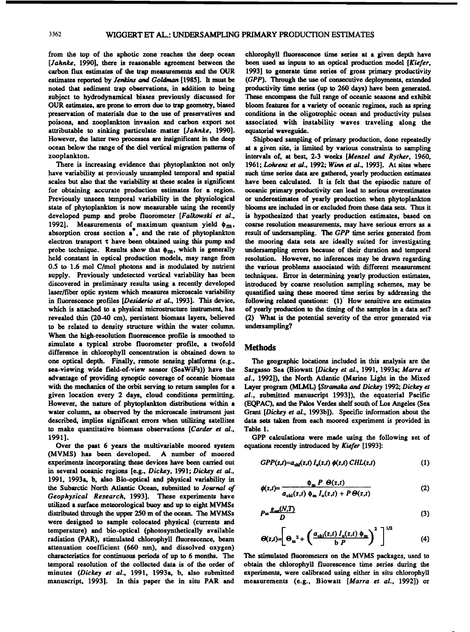**from the top of the aphotic zone reaches the deep ocean [Jahnke, 1990], there is reasonable agreement between the carbon flux estimates of the trap measurements and the OUR estimates reported by Jenkins and Goldman [1985]. It must be noted that sediment trap observations, in addition to being subject to hydrodynamical biases previously discussed for OUR estimates, are prone to errors due to trap geometry, biased preservation of materials due to the use of preservatives and poisons, and zooplankton invasion and carbon export not attributable to sinking particulate matter [Jahnke, 1990]. However, the latter two processes are insignificant in the deep**  ocean below the range of the diel vertical migration patterns of **zooplankton.** 

There is increasing evidence that phytoplankton not only have variability at proviously unsampled temporal and spatial **scales but also that the variability at these scales is significant for obtaining accurate production estimates for a region. Previously unseen temporal variability in the physiological state of phytoplankton is now measurable using the recently developed pump and probe fluorometer [Falkowski et al.,**  1992]. Measurements of maximum quantum yield  $\phi_m$ , **absorption cross section a , and the rate of phytoplankton electron transport x have been obtained using this pump and**  probe technique. Results show that  $\phi_m$ , which is generally **held constant in optical production models, may range from 0.5 to 1.6 mol C/mol photons and is modulated by nutrient supply. Previously undetected vertical variability has been discovered in preliminary results using a recently developed laser/fiber optic system which measures microscale variability in fluorescence profides [Desiderio et al., 1993]. This device,**  which is attached to a physical microstructure instrument, has **revealed thin (20-40 cm), persistent biomass layers, believed to be related to density structure within the water column. When the high-resolution fluorescence profile is smoothed to simulate a typical strobe fiuorometer profile, a twofold difference in chlorophyll concentration is obtained down to one optical depth. Finally, remote sensing platforms (e.g., sea-viewing wide field-of-view sensor (SeaWiFs)) have the advantage of providing synoptic coverage of oceanic biomass with the mechanics of the orbit serving to return samples for a given location every 2 days, cloud conditions permitting. However, the nature of phytoplankton distributions within a water column, as observed by the microscale instrument just described, implies significant errors when utilizing satellites to make quantitative biomass observations [Carder et al., 1991].** 

**Over the past 6 years the multivariable moored system (MVMS) has been developed. A number of moored experiments incorporating these devices have been carried out in several oceanic regions [e.g., Dickey, 1991; Dickey et al., 1991, 1993a, b, also Bio-optical and physical variability in the Subarctic North Ariantic Ocean, submitted to Journal of Geophysical Research, 1993]. These experiments have utilized a surface meteorological buoy and up to eight MVMSs distributed through the upper 250 m of the ocean. The MVMSs were designed to sample colocated physical (currents and temperature) and bio-optical (photosynthetically available radiation (PAR), stimulated chlorophyll fluorescence, beam attenuation coefficient (660 nm), and dissolved oxygen) characteristics for continuous periods of up to 6 months. The temporal resolution of the collected data is of the order of minutes (Dickey et al., 1991, 1993a, b, also submitted manuscript, 1993]. In this paper the in situ PAR and** 

**chlorophyll fluorescence time series at a given depth have been used as inputs to an optical production model [Kiefer, 1993] to generate time series of gross primary productivity (GPP). Through the use of consecutive deployments, extended productivity time series (up to 260 days) have been generated. These encompass the full range of oceanic seasons and exhibit**  bloom features for a variety of oceanic regimes, such as spring **conditions in the oligotrophic ocean and productivity pulses associated with instability waves traveling along the equatorial waveguide.** 

**Shipboard sampling of primary production, done repeatedly at a given site, is limited by various constraints to sampling intervals of, at best, 2-3 weeks [Menzel and Ryther, 1960,**  1961; Lohrenz et al., 1992; Winn et al., 1993]. At sites where **such time series data are gathered, yearly production estimates have been calculated. It is felt that the episodic nature of**  oceanic primary productivity can lead to serious overestimates **or underestimates of yearly production when phytoplankton**  blooms are included in or excluded from these data sets. Thus it **is hypothesized that yearly production estimates, based on coarse resolution measurements, may have serious errors as a result of undersampling. The GPP time series generated from the mooring data sets are ideally suited for investigating undersampling errors because of their duration and temporal resolution. However, no inferences may be drawn regarding the various problems associated with different measurement techniques. Error in determining yearly production estimates, introduced by coarse resolution sampling schemes, may be quantified using these moored time series by addressing the following related questions: (1)' How sensitive are estimates of yearly production to the timing of the samples in a data set? (2) What is the potential severity of the error generated via undersampling?** 

#### **Methods**

**The geographic locations included in this analysis are the**  Sargasso Sea (Biowatt [Dickey et al., 1991, 1993a; Marra et **al., 1992]), the North Atlantic (Marine Light in the Mixed**  Layer program (MLML) [Stramska and Dickey 1992; Dickey et **al., submitted manuscript 1993]), the equatorial Pacific (EQPAC), and the Palos Vetdes shelf south of Los Angeles (Sea Grant [Dickey et al., 1993b]). Specific information about the data sets taken from each moored experiment is provided in Table 1.** 

**GPP calculations were made using the following set of equations recently introduced by Kiefer [1993]:** 

$$
GPP(z,t)=a_{\text{chl}}(z,t) I_{\text{o}}(z,t) \phi(z,t) \, CHL(z,t) \tag{1}
$$

$$
\phi(z,t) = \frac{\phi_m \ P \ \Theta(z,t)}{a_{\text{chl}}(z,t) \ \phi_m \ I_o(z,t) + P \ \Theta(z,t)} \tag{2}
$$

$$
P = \frac{g_{\text{sat}}(N,T)}{D} \tag{3}
$$

$$
\Theta(z,t) = \left[\Theta_m^2 + \left(\frac{a_{\text{chl}}(z,t) I_o(z,t) \phi_m}{b P}\right)^2\right]^{1/2} \tag{4}
$$

**The stimulated fiuorometers on the MVMS packages, used to obtain the chlorophyll fluorescence time series during the experiments, were calibrated using either in situ chlorophyll measurements (e.g., Biowatt [Marra et al., 1992]) or**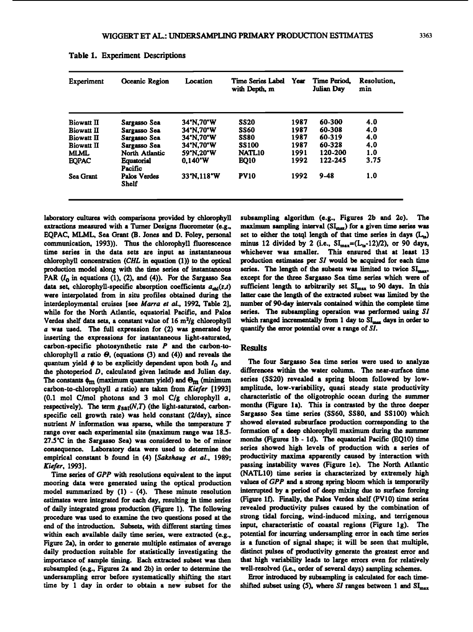| Experiment        | <b>Oceanic Region</b>        | Location          | Time Series Label<br>with Depth, m | <b>Year</b> | <b>Time Period.</b><br>Julian Day | Resolution.<br>min |
|-------------------|------------------------------|-------------------|------------------------------------|-------------|-----------------------------------|--------------------|
| <b>Biowatt II</b> | Sargasso Sea                 | 34°N.70°W         | SS20                               | 1987        | 60-300                            | 4.0                |
| <b>Biowatt II</b> | Sargasso Sea                 | 34°N.70°W         | <b>SS60</b>                        | 1987        | 60-308                            | 4.0                |
| <b>Biowatt II</b> | Sargasso Sea                 | 34°N,70°W         | <b>SS80</b>                        | 1987        | 60-319                            | 4.0                |
| <b>Biowatt II</b> | Sargasso Sea                 | 34°N.70°W         | <b>SS100</b>                       | 1987        | 60-328                            | 4.0                |
| <b>MLML</b>       | North Atlantic               | 59.N.20°W         | <b>NATL10</b>                      | 1991        | 120-200                           | 1.0                |
| <b>EQPAC</b>      | <b>Equatorial</b><br>Pacific | $0.140^{\circ}$ W | EQ10                               | 1992        | 122-245                           | 3.75               |
| <b>Sea Grant</b>  | <b>Palos Verdes</b><br>Shelf | 33"N.118"W        | <b>PV10</b>                        | 1992        | $9 - 48$                          | 1.0                |

**Table 1. Experiment Descriptions** 

**laboratory cultures with comparisons provided by chlorophyll extractions measured with a Turner Designs fluorometer (e.g., EQPAC, MLML, Sea Grant (B. Jones and D. Foley, personal communication, 1993)). Thus the chlorophyll fluorescence time series in the data sets are input as instantaneous**  chlorophyll concentration (CHL in equation (1)) to the optical **production model along with the time series of instantaneous**  PAR  $(I_0$  in equations  $(1)$ ,  $(2)$ , and  $(4)$ ). For the Sargasso Sea data set, chlorophyll-specific absorption coefficients  $a_{ch}(z,t)$ **were interpolated from in situ profiles obtained during the interdeploymental cruises [see Marra et al., 1992, Table 2], while for the North Atlantic, equatorial Pacific, and Palos Verdes shelf data sets, a constant value of 16 m2/g chlorophyll a was used. The full expression for (2) was generated by inserting the expressions for instantaneous light-saturated, carbon-specific photosynthetic rate P and the carbon-to**chlorophyll  $a$  ratio  $\Theta$ , (equations (3) and (4)) and reveals the quantum yield  $\phi$  to be explicitly dependent upon both  $I_0$  and **the photoperiod D, calculated given latitude and Julian day.**  The constants  $\phi_m$  (maximum quantum yield) and  $\Theta_m$  (minimum **carbon-to-chlorophyll a ratio) are taken from Kiefer [1993] (0.1 mol C/mo! photons and 3 mol C/g chlorophyll a,**  respectively). The term  $g_{\text{sat}}(N,T)$  (the light-saturated, carbon**specific cell growth rate) was held constant (2/day), since nutrient N information was sparse, while the temperature T range over each experimental site (maximum range was 18.5- 27.5'C in the Sargasso Sea) was considered to be of minor consequence. Laboratory data were used to determine the empirical constant b found in (4) [Sakshaug et al., 1989; Kiefer, 19931.** 

Time series of GPP with resolutions equivalent to the input **mooring data were generated using the optical production model summarized by (1) - (4). These minute resolution estimates were integrated for each day, resulting in time series of daily integrated gross production (Figure 1). The following procedure was used to examine the two questions posed at the end of the introduction. Subsets, with different starting times within each available daily time series, were extracted (e.g., Figure 2a), in order to generate multiple estimates of average daily production suitable for statistically investigating the importance of sample timing. Each extracted subset was then subsampled (e.g., Figures 2a and 2b) in order to determine the undersampling error before systematically shifting . the start time by 1 day in order to obtain a new subset for the** 

**subsampling algorithm (e.g., Figures 2b and 2c). The**  maximum sampling interval (SI<sub>max</sub>) for a given time series was set to either the totql length of that time series in days (L<sub>12</sub>) minus 12 divided by 2 (i.e.,  $SL_{max} = (L_{tr} - 12)/2$ ), or 90 days, **whichever was smaller. This ensured that at least 13**  production estimates per SI would be acquired for each time series. The length of the subsets was limited to twice SI<sub>max</sub>, **except for the three Sargasso Sea time series which were of**  sufficient length to arbitrarily set SI<sub>max</sub> to 90 days. In this **latter case the length of the extracted subset was limited by the number of 90-day intervals contained within the complete time series. The subsampling operation was performed using \$I**  which ranged incrementally from 1 day to SI<sub>mex</sub> days in order to **quantify the error potential over a range of \$I.** 

### **Results**

**The four Sargasso Sea time series were used to analyze differences within the water column. The near-surface time series (SS20) revealed a spring bloom followed by lowamplitude, low-variability, quasi steady state productivity characteristic of the oligotrophic ocean during the summer months (Figure l a). This is contrasted by the three deeper Sargasso Sea time series (SS60, SS80, and SS100) which showed elevated subsurface production corresponding to the formation of a deep chlorophyll maximum during the summer months (Figures lb - l d). The equatorial Pacific (EQ10) time series showed high levels of production with a series of productivity maxima apparenfiy caused by interaction with passing instability waves (Figure le). The North Atlantic (NATL10) time series is characterized by extremely high values of GPP and a strong spring bloom which is temporarily interrupted by a period of deep mixing due to surface forcing (Figure lf). Finally, the Palos Vetdes shelf (PV10) time series revealed productivity pulses caused by the combination of strong tidal forcing, wind-induced mixing, and terrigenous**  input, characteristic of coastal regions (Figure 1g). The **potential for incurring undersampling error in each time series is a function of signal shape; it will be seen that multiple, distinct pulses of productivity generate the greatest error and that high variability leads to large errors even for relatively well-resolved (i.e., order of several days) sampling schemes.** 

**Error introduced by subsampling is calculated for each timeshifted subset using (5), where SI ranges between 1 and**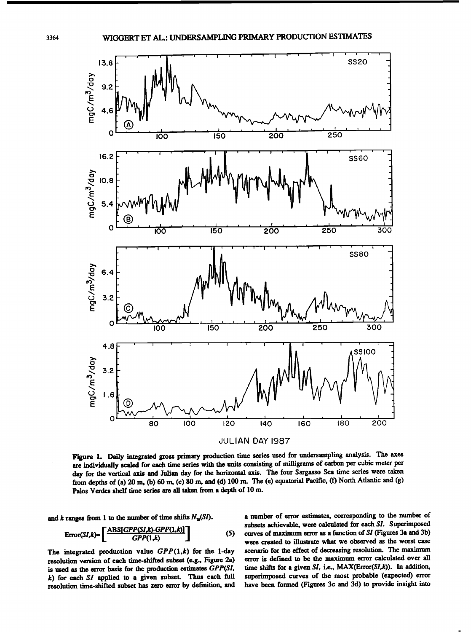

**Figure 1. Daily integrated gross primary production time series used for undersampling analysis. The axes are individually scaled for each time series with the units consisting of milligrams of carbon per cubic meter per**  day for the vertical axis and Julian day for the horizontal axis. The four Sargasso Sea time series were taken from depths of (a) 20 m, (b) 60 m, (c) 80 m, and (d) 100 m. The (e) equatorial Pacific, (f) North Atlantic and (g) **Palos Vetdes shelf time series are all taken from a depth of 10 m.** 

and k ranges from 1 to the number of time shifts  $N_{tr}(SI)$ .

$$
Error(SI,k) = \left[\frac{ABS(GPP(SI,k)-GPP(1,k))}{GPP(1,k)}\right]
$$
 (5)

The integrated production value  $GPP(1,k)$  for the 1-day **resolution version of each time-shifted subset (e.g., Figure 2a) is used as the error basis for the production estimates GPP(SI, k) for each SI applied to a given subset. Thus each full resolution time-shifted subset has zero error by definition, and** 

**Error(Sl, k)= [ ABS[GPP(SI'k)'GPP(I'k)] GPP(1,k) J I(5) curves of maximum error as a function of SI (Figures 3a and 3b) a number of error estimates, corresponding to the number of subsets achievable, were calculated for each SI. Superimposed were created to illustrate what we observed as the worst case scenario for the effect of decreasing resolution. The maximum error is defined to be the maximum error calculated over all time shifts for a given SI, i.e., MAX(Error(Sl, k)). In addition, superimposed curves of the most probable '(expected) error have been formed (Figures 3c and 3d) to provide insight into**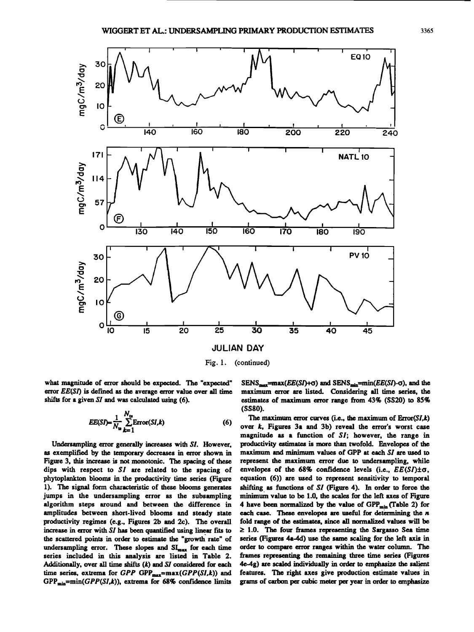

**Fig. 1. (continued)** 

**what magnitude of error should be expected. The "expected" error EE(SI) is def'med as the average error value over all time shifts for a given SI and was calculated using (6).** 

$$
EE(SI) = \frac{1}{N_{\text{ts}}} \sum_{k=1}^{N_{\text{ts}}} \text{Error}(SI,k)
$$
 (6)

**Undersampling error generally increases with SI. However, as exemplified by the temporary decreases in error shown in Figure 3, this increase is not monotonic. The spacing of these dips with respect to \$I are related to the spacing of phytoplankton blooms in the productivity time series (Figure 1). The signal form characteristic of these blooms generates jumps in the undersampling error as the subsampling algorithm steps around and between the difference in amplitudes between short-lived blooms and steady state productivity regimes (e.g., Figures 2b and 2c). The overall**  increase in error with SI has been quantified using linear fits to **the scattered points in order to estimate the "growth rate" of**  undersampling error. These slopes and SI<sub>max</sub> for each time **series included in this analysis are listed in Table 2. Additionally, over all time shifts (k) and SI considered for each**  time series, extrema for  $GPP$   $GPP_{max} = max(GPP(SI, k))$  and GPP<sub>min</sub>=min(GPP(SI,k)), extrema for 68% confidence limits

 $SENS_{max}$ =max( $EE(SI)$ + $\sigma$ ) and  $SENS_{min}$ =min( $EE(SI)$ - $\sigma$ ), and the **maximum error are listed. Considering all time series, the estimates of maximum error range from 43% (SS20) to 85% (SSS0).** 

The maximum error curves (i.e., the maximum of  $Error(SI, k)$ over *k*, Figures 3a and 3b) reveal the error's worst case **magnitude as a function of \$I; however, the range in productivity estimates is more than twofold. Envelopes of the maximum and minimum values of GPP at each SI are used to represent the maximum error due to undersampling, while**  envelopes of the  $68\%$  confidence levels (i.e.,  $EE(SI)\pm\sigma$ , **equation (6)) are used to represent sensitivity to temporal shifting. as functions of \$I (Figure 4). In order to force the minimum value to be 1.0, the scales for the left axes of Figure**  4 have been normalized by the value of GPP<sub>min</sub> (Table 2) for **each case. These envelopes are useful for determining the n fold range of the estimates, since all normalized values will be >\_ 1.0. The four frames representing the \$argasso Sea time series (Figures 4a-4d) use the same scaling for the left axis in order to compare error ranges within the water column. The frames representing the remaining three time series (Figures 4e-4g) are scaled individually in order to emphasize the salient features. The right axes give production estimate values in grams of carbon per cubic meter per year in order to emphasize**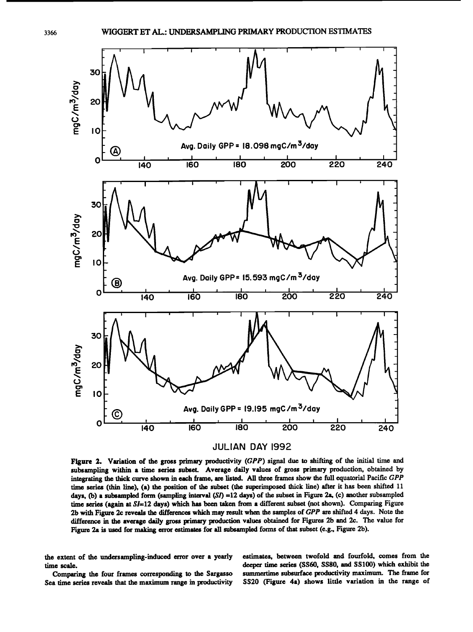

**Figure 2. Variation of the gross primary productivity (GPP) signal due to shifting of the initial time and**  subsampling within a time series subset. Average daily values of gross primary production, obtained by integrating the thick curve shown in each frame, are listed. All three frames show the full equatorial Pacific GPP time series (thin line), (a) the position of the subset (the superimposed thick line) after it has been shifted 11 **days, (b) a subsampled form (sampling interval (\$/) =12 days) of the subset in Figure 2a, (c) another subsampled time series (again at \$1=12 days) which has been taken from a different subset (not shown). Comparing Figure 2b with Figure 2c reveals the differences which may result when the samples of GPP are shifted 4days. Note the difference in the average daily gross primary production values obtained for Figures 2b and 2c. The value for Figure 2a is used for making error estimates for all subsampled forms of that subset (e.g., Figure 2b).** 

**the extent of the undersampling-induced error over a yearly time scale.** 

**Comparing the four frames corresponding to the Sargasso Sea time series reveals that the maximum range in productivity**  **estimates, between twofold and fourfold, comes from the deeper time series (SS60, SS80, and SS100) which exhibit the summertime subsurface productivity maximum. The frame for SS20 (Figure 4a) shows little variation in the range of**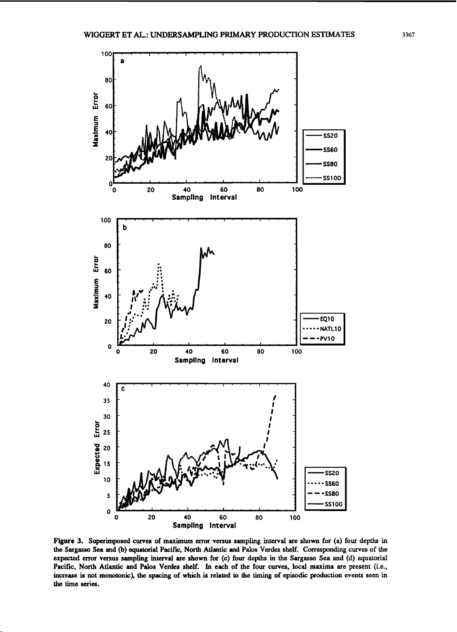

**Figure 3. Superimposed curves of maximum error versus sampling interval are shown for (a) four depths in the Sargasso Sea and (b) equatorial Pacific, North Atlantic and Palos Verdes shelf. Corresponding curves of the expected error versus sampling interval are shown for (c) four depths in the Sargasso Sea and (d) equatorial Pacific, North Ariantic and Palos Vetdes shelf. In each of the four curves, local maxima are present (i.e., increase is not monotonic), the spacing of which is related to the timing of episodic production events seen in the time series.**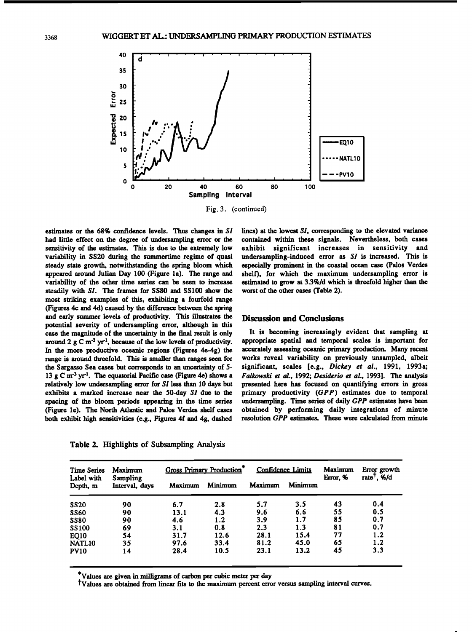

**estimates or the 68% confidence levels. Thus changes in SI had little effect on the degree of undersampling error or the sensitivity of the estimates. This is due to the extremely low variability in SS20 during the summertime regime of quasi steady state growth, notwithstanding the spring bloom which appeared around Julian Day 100 (Figure la). The range and variability of the other time series can be seen to increase steadily with \$I. The frames for SS80 and SS100 show the most striking examples of this, exhibiting a fourfold range (Figures 4c and 4d) caused by the difference between the spring and early summer levels of productivity. This illustrates the potential severity of undersampling error, although in this case the magnitude of the uncertainty in the f'mal result is only around 2 g C m '3 yr 4, because of the low levels of productivity. In the more productive oceanic regions (Figures 4e-4g) the range is around threefold. This is smaller than ranges seen for the Sargasso Sea cases but corresponds to an uncertainty of 5- 13 g C m '3 yr 4. The equatorial Pacific case (Figure 4e) shows a**  relatively low undersampling error for SI less than 10 days but **exhibits a marked increase near the 50-day \$I due to the spacing of the bloom periods appearing in the time series (Figure le). The North Atlantic and Palos Vetdes shelf cases both exhibit high sensitivities (e.g., Figures 4f and 4g, dashed** 

**Table 2. Highlights of Subsampling Analysis** 

**lines) at the lowest \$l, corresponding to the elevated variance contained within these signals. Nevertheless, both cases exhibit significant increases in sensitivity and undersampling-induced error as \$I is increased. This is especially prominent in the coastal ocean case (Palos Vetdes shelf), for which the maximum undersampling error is estimated to grow at 3.3%/d which is threefold higher than the worst of the other cases (Table 2).** 

# **Discussion and Conclusions**

**It is becoming increasingly evident that sampling at appropriate spatial and temporal scales is important for accurately assessing oceanic primary production. Many recent works reveal variability on previously unsampled, albeit significant, scales [e.g., Dickey et al., 1991, 1993a; Fallowski et al., 1992; Desiderio et al., 1993]. The analysis presented here has focused on quantifying errors in gross primary productivity (GPP) estimates due to temporal undersampling. Time series of daily GPP estimates have been obtained by performing daily integrations of minute resolution GPP estimates. These were calculated from minute** 

| <b>Time Series</b>     | Maximum<br>Sampling<br>Interval, days | <b>Gross Primary Production*</b> |         | Confidence Limits |         | Maximum  | Error growth                       |
|------------------------|---------------------------------------|----------------------------------|---------|-------------------|---------|----------|------------------------------------|
| Label with<br>Depth, m |                                       | Maximum                          | Minimum | Maximum           | Minimum | Error, % | rate <sup>T</sup> , $\frac{\%}{d}$ |
| <b>SS20</b>            | 90                                    | 6.7                              | 2.8     | 5.7               | 3.5     | 43       | 0.4                                |
| <b>SS60</b>            | 90                                    | 13.1                             | 4.3     | 9.6               | 6.6     | 55       | 0.5                                |
| <b>SS80</b>            | 90                                    | 4.6                              | 1.2     | 3.9               | 1.7     | 85       | 0.7                                |
| <b>SS100</b>           | 69                                    | 3.1                              | 0.8     | 2.3               | 1.3     | 81       | 0.7                                |
| <b>EQ10</b>            | 54                                    | 31.7                             | 12.6    | 28.1              | 15.4    | 77       | 1.2                                |
| NATL10                 | 35                                    | 97.6                             | 33.4    | 81.2              | 45.0    | 65       | 1.2                                |
| <b>PV10</b>            | 14                                    | 28.4                             | 10.5    | 23.1              | 13.2    | 45       | 3.3                                |

**\*Values are given in milligrams of carbon per cubic meter per day** 

**•Values are obtained from linear fits to the maximum percent error versus sampling interval curves.**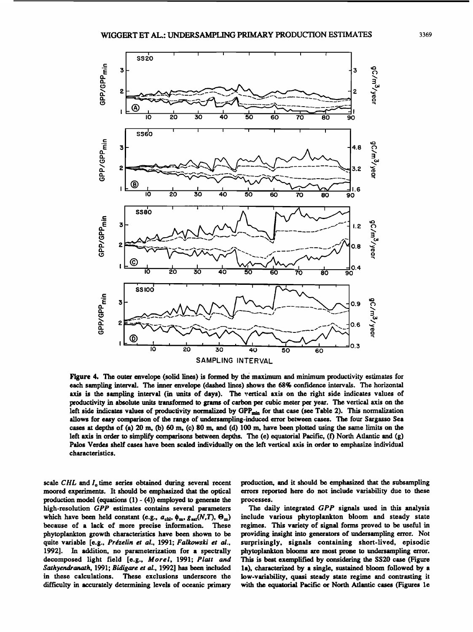

**Figure 4. The outer envelope (solid lines) is formed by the maximum and minimum productivity estimates for each sampling interval. The inner envelope (dashed lines) shows the 68% confidence intervals. The horizontal axis is the sampling interval (in units of days). The vertical axis on the right side indicates values of productivity in absolute units transformed to grams of carbon per cubic meter per year. The vertical axis on the**  left side indicates values of productivity normalized by GPP<sub>min</sub> for that case (see Table 2). This normalization **allows for easy comparison of the range of undersampling-induced error between cases. The four Sargasso Sea cases at depths of (a) 20 m, (b) 60 m, (c) 80 m, and (d) 100 m, have been plotted using the same limits on the left axis in order to simplify comparisons between depths. The (e) equatorial Pacific, (f) North Atlantic and (g) Palos Vetdes shelf cases have been scaled individually on the left vertical axis in order to emphasize individual characteristics.** 

scale CHL and I<sub>n</sub> time series obtained during several recent **moored experiments. It should be emphasized that the optical**  production model (equations (1) - (4)) employed to generate the **high-resolution GPP estimates contains several parameters**  which have been held constant (e.g.,  $a_{\text{ch}}$ ,  $\phi_{\text{m}}$ ,  $g_{\text{sat}}(N,T)$ ,  $\Theta_{\text{m}}$ ) because of a lack of more precise information. These because of a lack of more precise information. **phytoplankton growth characteristics have been shown to be**  quite variable [e.g., Prézelin et al., 1991; Falkowski et al., **1992]. In addition, no parameterization for a spectrally decomposed light field [e.g., Morel, 1991; Platt and Sathyendranath, 1991; Bidigare et al., 1992] has been included in these calculations. These exclusions underscore the difficulty in accurately determining levels of oceanic primary**  **production. and it should be emphasized that the subsampling errors reported here do not include variability due to these processes.** 

The daily integrated GPP signals used in this analysis **include various phytoplankton bloom and steady state regimes. This variety of signal forms proved to be useful in providing insight into generators of undersampling error. Not surprisingly, signals containing short-lived, episodic phytoplankton blooms are most prone to undersampling error. This is best exemplified by considering the SS20 case (Figure la), characterized by a single, sustained bloom followed by a low-variability, quasi steady state regime and contrasting it**  with the equatorial Pacific or North Atlantic cases (Figures 1e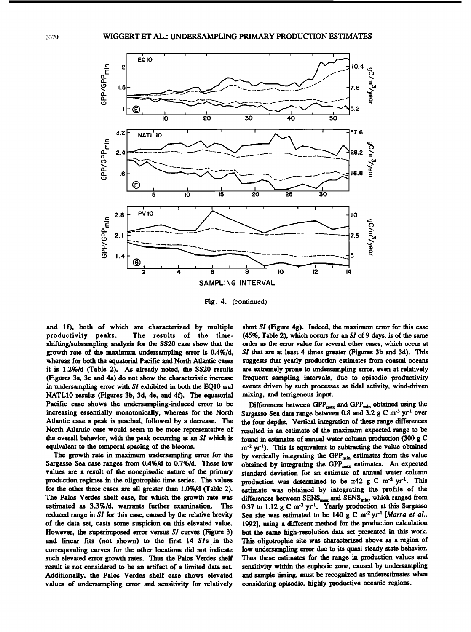

**Fig. 4. (continued)** 

and 1f), both of which are characterized by multiple productivity peaks. The results of the time-The results of the time**shifting/subsarnpling analysis for the SS20 case show that the growth rate of the maximum undersampling error is 0.4%/d, whereas for both the equatorial Pacific and North Atlantic cases it is 1.2%/d (Table 2). As already noted, the SS20 results (Figures 3a, 3c and 4a) do not show the characteristic increase in undersampling error with \$I exhibited in both the EQ10 and**  NATL10 results (Figures 3b, 3d, 4e, and 4f). The equatorial **Pacific case shows the undersampling-induced error to be increasing essentially monotonically, whereas for the North Ariantic case a peak is reached, followed by a decrease. The North Ariantic case would seem to be more representative of the overall behavior, with the peak occurring at an \$I which is equivalent to the temporal spacing of the blooms.** 

**The growth rate in maximum undersampling error for the Sargasso Sea case ranges from 0.4%/d to 0.7%/d. These low values are a result of the nonepisodic nature of the primary production regimes in the oligotrophic time series. The values for the other three cases are all greater than 1.0%/d (Table 2). The Palos Verdes shelf case, for which the growth rate was estimated as 3.3%/d, warrants further examination. The reduced range in \$I for this case, caused by the relative brevity of the data set, casts some suspicion on this elevated value. However, the superimposed error versus Sl curves (Figure 3)**  and linear fits (not shown) to the first 14 SIs in the **corresponding curves for the other locations did not indicate such elevated error growth rates. Thus the Palos Verdes shelf result is not considered to be an artifact of a limited data set. Additionally, the Palos Verdes shelf case shows elevated values of undersampling error and sensitivity for relatively**  short SI (Figure 4g). Indeed, the maximum error for this case **(45%, Table 2), which occm for an SI of 9 days, is of the same order as the error value for several other cases, which occur at \$I that are at least 4 times greater (Figures 3b and 3d). This suggests that yearly production estimates from coastal oceans are extremely prone to undersampling error, even at relatively frequent sampling intervals, due to episodic productivity events driven by such processes as tidal activity, wind-driven mixing, and terrigenous input.** 

Differences between GPP<sub>max</sub> and GPP<sub>min</sub> obtained using the Sargasso Sea data range between 0.8 and 3.2 g C m<sup>-3</sup> yr<sup>-1</sup> over **the four depths. Vertical integration of these range differences resulted in an estimate of the maximum expected range to be found in estimates of annual water column production (300 g C m '2 yr-1). This is equivalent to subtracting the value obtained**  by vertically integrating the GPP<sub>min</sub> estimates from the value obtained by integrating the GPP<sub>max</sub> estimates. An expected **standard deviation for an estimate of annual water column**  production was determined to be  $\pm 42$  g C m<sup>-2</sup> yr<sup>-1</sup>. This **estimate was obtained by integrating the profile of the**  differences between SENS<sub>max</sub> and SENS<sub>min</sub>, which ranged from **0.37 to 1.12 g C m '3 yr 1. Yearly production at this Sargasso**  Sea site was estimated to be 140 g C m<sup>-2</sup> yr<sup>-1</sup> [Marra et al., **1992], using a different method for the production calculation but the same high-resolution data set presented in this work. This oligotrophic site was characterized above as a region of low undersampling error due to its quasi steady state behavior. Thus these estimates for the range in production values and sensitivity within the euphotic zone, caused 'by undersampling and sample timing, must be recognized as underestimates when considering episodic, highly productive oceanic regions.**